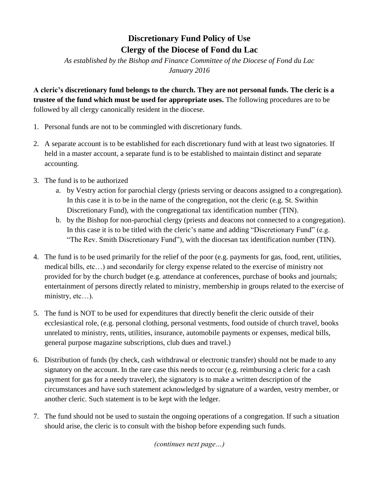## **Discretionary Fund Policy of Use Clergy of the Diocese of Fond du Lac**

*As established by the Bishop and Finance Committee of the Diocese of Fond du Lac January 2016*

**A cleric's discretionary fund belongs to the church. They are not personal funds. The cleric is a trustee of the fund which must be used for appropriate uses.** The following procedures are to be followed by all clergy canonically resident in the diocese.

- 1. Personal funds are not to be commingled with discretionary funds.
- 2. A separate account is to be established for each discretionary fund with at least two signatories. If held in a master account, a separate fund is to be established to maintain distinct and separate accounting.
- 3. The fund is to be authorized
	- a. by Vestry action for parochial clergy (priests serving or deacons assigned to a congregation). In this case it is to be in the name of the congregation, not the cleric (e.g. St. Swithin Discretionary Fund), with the congregational tax identification number (TIN).
	- b. by the Bishop for non-parochial clergy (priests and deacons not connected to a congregation). In this case it is to be titled with the cleric's name and adding "Discretionary Fund" (e.g. "The Rev. Smith Discretionary Fund"), with the diocesan tax identification number (TIN).
- 4. The fund is to be used primarily for the relief of the poor (e.g. payments for gas, food, rent, utilities, medical bills, etc…) and secondarily for clergy expense related to the exercise of ministry not provided for by the church budget (e.g. attendance at conferences, purchase of books and journals; entertainment of persons directly related to ministry, membership in groups related to the exercise of ministry, etc...).
- 5. The fund is NOT to be used for expenditures that directly benefit the cleric outside of their ecclesiastical role, (e.g. personal clothing, personal vestments, food outside of church travel, books unrelated to ministry, rents, utilities, insurance, automobile payments or expenses, medical bills, general purpose magazine subscriptions, club dues and travel.)
- 6. Distribution of funds (by check, cash withdrawal or electronic transfer) should not be made to any signatory on the account. In the rare case this needs to occur (e.g. reimbursing a cleric for a cash payment for gas for a needy traveler), the signatory is to make a written description of the circumstances and have such statement acknowledged by signature of a warden, vestry member, or another cleric. Such statement is to be kept with the ledger.
- 7. The fund should not be used to sustain the ongoing operations of a congregation. If such a situation should arise, the cleric is to consult with the bishop before expending such funds.

*(continues next page…)*